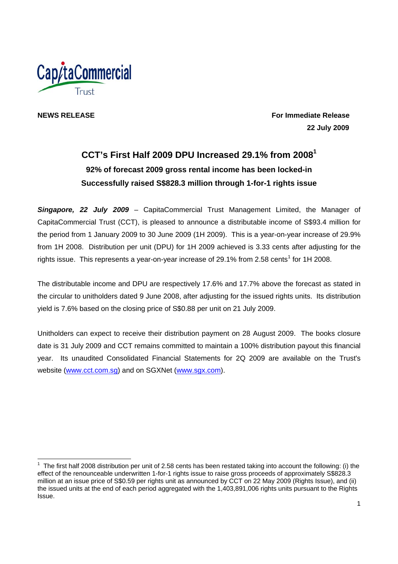

**NEWS RELEASE** For Immediate Release  **22 July 2009** 

# **CCT's First Half 2009 DPU Increased 29.1% from 2008<sup>1</sup> 92% of forecast 2009 gross rental income has been locked-in Successfully raised S\$828.3 million through 1-for-1 rights issue**

*Singapore, 22 July 2009* – CapitaCommercial Trust Management Limited, the Manager of CapitaCommercial Trust (CCT), is pleased to announce a distributable income of S\$93.4 million for the period from 1 January 2009 to 30 June 2009 (1H 2009). This is a year-on-year increase of 29.9% from 1H 2008. Distribution per unit (DPU) for 1H 2009 achieved is 3.33 cents after adjusting for the rights issue. This represents a year-on-year increase of 29.1% from 2.58 cents<sup>1</sup> for 1H 2008.

The distributable income and DPU are respectively 17.6% and 17.7% above the forecast as stated in the circular to unitholders dated 9 June 2008, after adjusting for the issued rights units. Its distribution yield is 7.6% based on the closing price of S\$0.88 per unit on 21 July 2009.

Unitholders can expect to receive their distribution payment on 28 August 2009. The books closure date is 31 July 2009 and CCT remains committed to maintain a 100% distribution payout this financial year. Its unaudited Consolidated Financial Statements for 2Q 2009 are available on the Trust's website (www.cct.com.sg) and on SGXNet (www.sgx.com).

 $1$  The first half 2008 distribution per unit of 2.58 cents has been restated taking into account the following: (i) the effect of the renounceable underwritten 1-for-1 rights issue to raise gross proceeds of approximately S\$828.3 million at an issue price of S\$0.59 per rights unit as announced by CCT on 22 May 2009 (Rights Issue), and (ii) the issued units at the end of each period aggregated with the 1,403,891,006 rights units pursuant to the Rights Issue.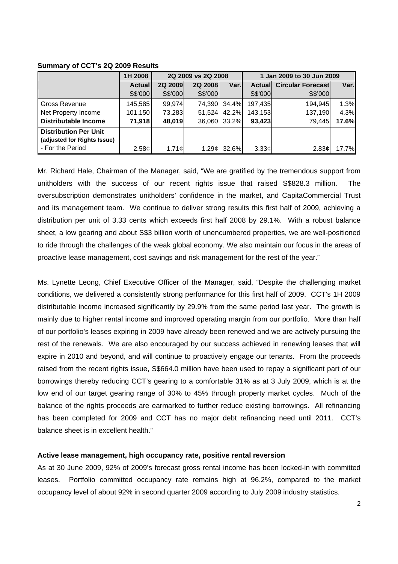|                                                             | 1H 2008           | 2Q 2009 vs 2Q 2008 |                   |       | 1 Jan 2009 to 30 Jun 2009 |                                 |       |
|-------------------------------------------------------------|-------------------|--------------------|-------------------|-------|---------------------------|---------------------------------|-------|
|                                                             | <b>Actual</b>     | 2Q 2009            | 2Q 2008           | Var.  |                           | <b>Actual Circular Forecast</b> | Var.  |
|                                                             | S\$'000           | S\$'000            | S\$'000           |       | S\$'000                   | S\$'000                         |       |
| Gross Revenue                                               | 145,585           | 99,974             | 74,390            | 34.4% | 197,435                   | 194,945                         | 1.3%  |
| Net Property Income                                         | 101,150           | 73,283             | 51.524            | 42.2% | 143.153                   | 137,190                         | 4.3%  |
| <b>Distributable Income</b>                                 | 71,918            | 48,019             | 36,060            | 33.2% | 93.423                    | 79.445                          | 17.6% |
| <b>Distribution Per Unit</b><br>(adjusted for Rights Issue) |                   |                    |                   |       |                           |                                 |       |
| - For the Period                                            | 2.58 <sub>c</sub> | 1.71c              | 1.29 <sub>c</sub> | 32.6% | $3.33\mathcal{C}$         | 2.83¢                           | 17.7% |

#### **Summary of CCT's 2Q 2009 Results**

Mr. Richard Hale, Chairman of the Manager, said, "We are gratified by the tremendous support from unitholders with the success of our recent rights issue that raised S\$828.3 million. The oversubscription demonstrates unitholders' confidence in the market, and CapitaCommercial Trust and its management team. We continue to deliver strong results this first half of 2009, achieving a distribution per unit of 3.33 cents which exceeds first half 2008 by 29.1%. With a robust balance sheet, a low gearing and about S\$3 billion worth of unencumbered properties, we are well-positioned to ride through the challenges of the weak global economy. We also maintain our focus in the areas of proactive lease management, cost savings and risk management for the rest of the year."

Ms. Lynette Leong, Chief Executive Officer of the Manager, said, "Despite the challenging market conditions, we delivered a consistently strong performance for this first half of 2009. CCT's 1H 2009 distributable income increased significantly by 29.9% from the same period last year. The growth is mainly due to higher rental income and improved operating margin from our portfolio. More than half of our portfolio's leases expiring in 2009 have already been renewed and we are actively pursuing the rest of the renewals. We are also encouraged by our success achieved in renewing leases that will expire in 2010 and beyond, and will continue to proactively engage our tenants. From the proceeds raised from the recent rights issue, S\$664.0 million have been used to repay a significant part of our borrowings thereby reducing CCT's gearing to a comfortable 31% as at 3 July 2009, which is at the low end of our target gearing range of 30% to 45% through property market cycles. Much of the balance of the rights proceeds are earmarked to further reduce existing borrowings. All refinancing has been completed for 2009 and CCT has no major debt refinancing need until 2011. CCT's balance sheet is in excellent health."

#### **Active lease management, high occupancy rate, positive rental reversion**

As at 30 June 2009, 92% of 2009's forecast gross rental income has been locked-in with committed leases. Portfolio committed occupancy rate remains high at 96.2%, compared to the market occupancy level of about 92% in second quarter 2009 according to July 2009 industry statistics.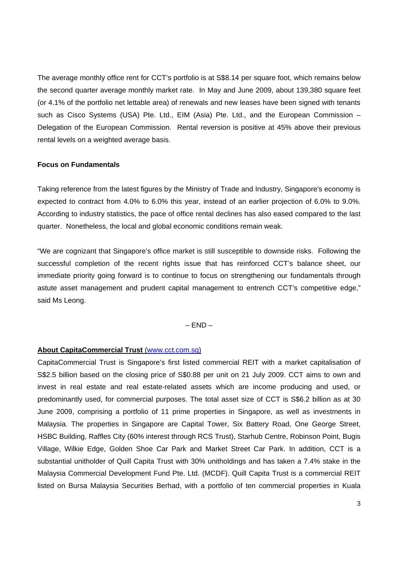The average monthly office rent for CCT's portfolio is at S\$8.14 per square foot, which remains below the second quarter average monthly market rate. In May and June 2009, about 139,380 square feet (or 4.1% of the portfolio net lettable area) of renewals and new leases have been signed with tenants such as Cisco Systems (USA) Pte. Ltd., EIM (Asia) Pte. Ltd., and the European Commission – Delegation of the European Commission. Rental reversion is positive at 45% above their previous rental levels on a weighted average basis.

## **Focus on Fundamentals**

Taking reference from the latest figures by the Ministry of Trade and Industry, Singapore's economy is expected to contract from 4.0% to 6.0% this year, instead of an earlier projection of 6.0% to 9.0%. According to industry statistics, the pace of office rental declines has also eased compared to the last quarter. Nonetheless, the local and global economic conditions remain weak.

"We are cognizant that Singapore's office market is still susceptible to downside risks. Following the successful completion of the recent rights issue that has reinforced CCT's balance sheet, our immediate priority going forward is to continue to focus on strengthening our fundamentals through astute asset management and prudent capital management to entrench CCT's competitive edge," said Ms Leong.

 $-$  END  $-$ 

#### **About CapitaCommercial Trust** (www.cct.com.sg)

CapitaCommercial Trust is Singapore's first listed commercial REIT with a market capitalisation of S\$2.5 billion based on the closing price of S\$0.88 per unit on 21 July 2009. CCT aims to own and invest in real estate and real estate-related assets which are income producing and used, or predominantly used, for commercial purposes. The total asset size of CCT is S\$6.2 billion as at 30 June 2009, comprising a portfolio of 11 prime properties in Singapore, as well as investments in Malaysia. The properties in Singapore are Capital Tower, Six Battery Road, One George Street, HSBC Building, Raffles City (60% interest through RCS Trust), Starhub Centre, Robinson Point, Bugis Village, Wilkie Edge, Golden Shoe Car Park and Market Street Car Park. In addition, CCT is a substantial unitholder of Quill Capita Trust with 30% unitholdings and has taken a 7.4% stake in the Malaysia Commercial Development Fund Pte. Ltd. (MCDF). Quill Capita Trust is a commercial REIT listed on Bursa Malaysia Securities Berhad, with a portfolio of ten commercial properties in Kuala